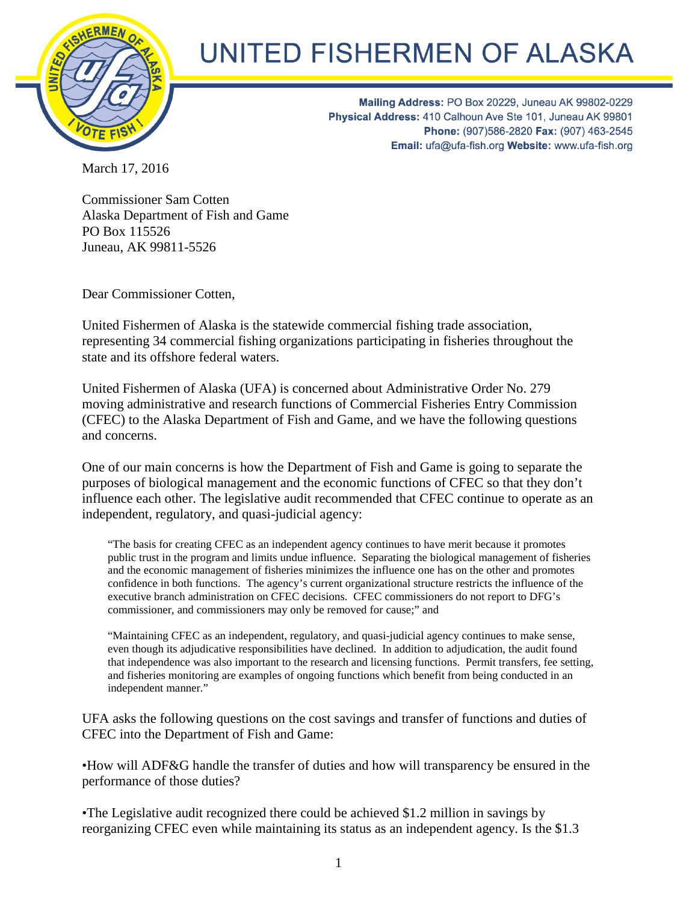

## UNITED FISHERMEN OF ALASKA

Mailing Address: PO Box 20229, Juneau AK 99802-0229 Physical Address: 410 Calhoun Ave Ste 101, Juneau AK 99801 Phone: (907)586-2820 Fax: (907) 463-2545 Email: ufa@ufa-fish.org Website: www.ufa-fish.org

March 17, 2016

Commissioner Sam Cotten Alaska Department of Fish and Game PO Box 115526 Juneau, AK 99811-5526

Dear Commissioner Cotten,

United Fishermen of Alaska is the statewide commercial fishing trade association, representing 34 commercial fishing organizations participating in fisheries throughout the state and its offshore federal waters.

United Fishermen of Alaska (UFA) is concerned about Administrative Order No. 279 moving administrative and research functions of Commercial Fisheries Entry Commission (CFEC) to the Alaska Department of Fish and Game, and we have the following questions and concerns.

One of our main concerns is how the Department of Fish and Game is going to separate the purposes of biological management and the economic functions of CFEC so that they don't influence each other. The legislative audit recommended that CFEC continue to operate as an independent, regulatory, and quasi-judicial agency:

"The basis for creating CFEC as an independent agency continues to have merit because it promotes public trust in the program and limits undue influence. Separating the biological management of fisheries and the economic management of fisheries minimizes the influence one has on the other and promotes confidence in both functions. The agency's current organizational structure restricts the influence of the executive branch administration on CFEC decisions. CFEC commissioners do not report to DFG's commissioner, and commissioners may only be removed for cause;" and

"Maintaining CFEC as an independent, regulatory, and quasi-judicial agency continues to make sense, even though its adjudicative responsibilities have declined. In addition to adjudication, the audit found that independence was also important to the research and licensing functions. Permit transfers, fee setting, and fisheries monitoring are examples of ongoing functions which benefit from being conducted in an independent manner."

UFA asks the following questions on the cost savings and transfer of functions and duties of CFEC into the Department of Fish and Game:

•How will ADF&G handle the transfer of duties and how will transparency be ensured in the performance of those duties?

•The Legislative audit recognized there could be achieved \$1.2 million in savings by reorganizing CFEC even while maintaining its status as an independent agency. Is the \$1.3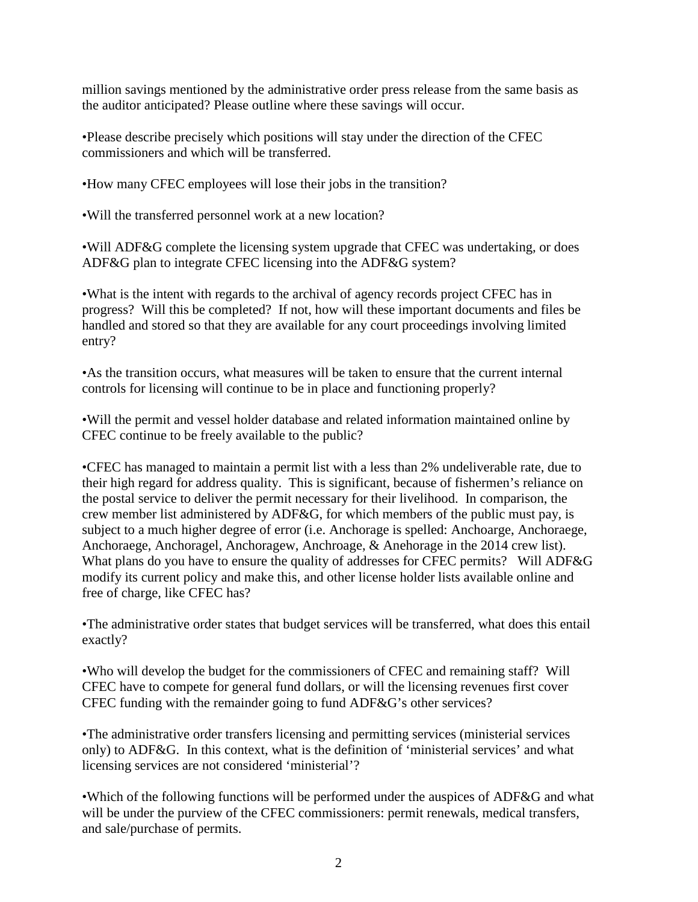million savings mentioned by the administrative order press release from the same basis as the auditor anticipated? Please outline where these savings will occur.

•Please describe precisely which positions will stay under the direction of the CFEC commissioners and which will be transferred.

•How many CFEC employees will lose their jobs in the transition?

•Will the transferred personnel work at a new location?

•Will ADF&G complete the licensing system upgrade that CFEC was undertaking, or does ADF&G plan to integrate CFEC licensing into the ADF&G system?

•What is the intent with regards to the archival of agency records project CFEC has in progress? Will this be completed? If not, how will these important documents and files be handled and stored so that they are available for any court proceedings involving limited entry?

•As the transition occurs, what measures will be taken to ensure that the current internal controls for licensing will continue to be in place and functioning properly?

•Will the permit and vessel holder database and related information maintained online by CFEC continue to be freely available to the public?

•CFEC has managed to maintain a permit list with a less than 2% undeliverable rate, due to their high regard for address quality. This is significant, because of fishermen's reliance on the postal service to deliver the permit necessary for their livelihood. In comparison, the crew member list administered by ADF&G, for which members of the public must pay, is subject to a much higher degree of error (i.e. Anchorage is spelled: Anchoarge, Anchoraege, Anchoraege, Anchoragel, Anchoragew, Anchroage, & Anehorage in the 2014 crew list). What plans do you have to ensure the quality of addresses for CFEC permits? Will ADF&G modify its current policy and make this, and other license holder lists available online and free of charge, like CFEC has?

•The administrative order states that budget services will be transferred, what does this entail exactly?

•Who will develop the budget for the commissioners of CFEC and remaining staff? Will CFEC have to compete for general fund dollars, or will the licensing revenues first cover CFEC funding with the remainder going to fund ADF&G's other services?

•The administrative order transfers licensing and permitting services (ministerial services only) to ADF&G. In this context, what is the definition of 'ministerial services' and what licensing services are not considered 'ministerial'?

•Which of the following functions will be performed under the auspices of ADF&G and what will be under the purview of the CFEC commissioners: permit renewals, medical transfers, and sale/purchase of permits.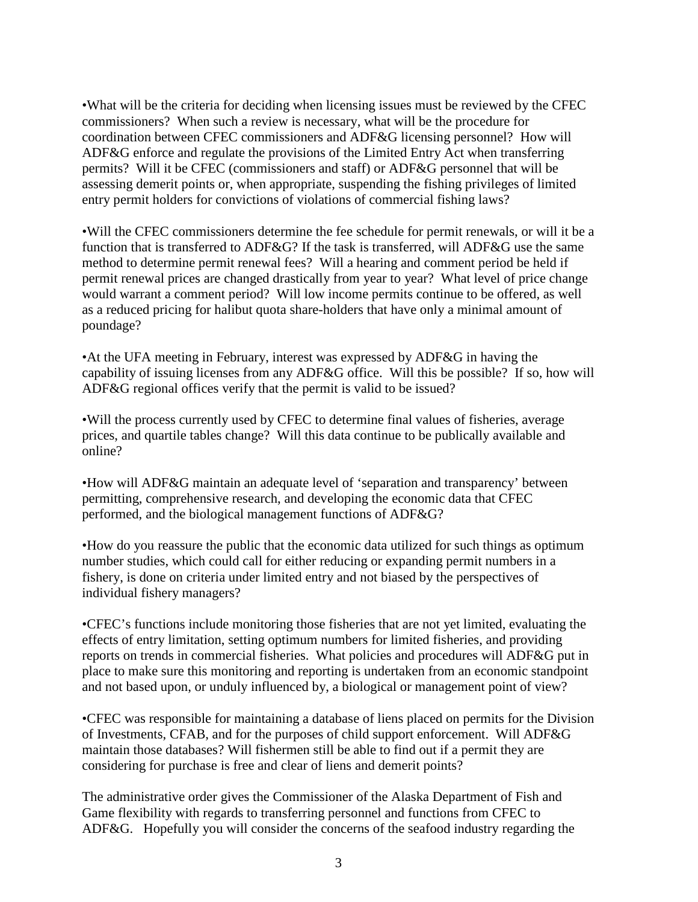•What will be the criteria for deciding when licensing issues must be reviewed by the CFEC commissioners? When such a review is necessary, what will be the procedure for coordination between CFEC commissioners and ADF&G licensing personnel? How will ADF&G enforce and regulate the provisions of the Limited Entry Act when transferring permits? Will it be CFEC (commissioners and staff) or ADF&G personnel that will be assessing demerit points or, when appropriate, suspending the fishing privileges of limited entry permit holders for convictions of violations of commercial fishing laws?

•Will the CFEC commissioners determine the fee schedule for permit renewals, or will it be a function that is transferred to ADF&G? If the task is transferred, will ADF&G use the same method to determine permit renewal fees? Will a hearing and comment period be held if permit renewal prices are changed drastically from year to year? What level of price change would warrant a comment period? Will low income permits continue to be offered, as well as a reduced pricing for halibut quota share-holders that have only a minimal amount of poundage?

•At the UFA meeting in February, interest was expressed by ADF&G in having the capability of issuing licenses from any ADF&G office. Will this be possible? If so, how will ADF&G regional offices verify that the permit is valid to be issued?

•Will the process currently used by CFEC to determine final values of fisheries, average prices, and quartile tables change? Will this data continue to be publically available and online?

•How will ADF&G maintain an adequate level of 'separation and transparency' between permitting, comprehensive research, and developing the economic data that CFEC performed, and the biological management functions of ADF&G?

•How do you reassure the public that the economic data utilized for such things as optimum number studies, which could call for either reducing or expanding permit numbers in a fishery, is done on criteria under limited entry and not biased by the perspectives of individual fishery managers?

•CFEC's functions include monitoring those fisheries that are not yet limited, evaluating the effects of entry limitation, setting optimum numbers for limited fisheries, and providing reports on trends in commercial fisheries. What policies and procedures will ADF&G put in place to make sure this monitoring and reporting is undertaken from an economic standpoint and not based upon, or unduly influenced by, a biological or management point of view?

•CFEC was responsible for maintaining a database of liens placed on permits for the Division of Investments, CFAB, and for the purposes of child support enforcement. Will ADF&G maintain those databases? Will fishermen still be able to find out if a permit they are considering for purchase is free and clear of liens and demerit points?

The administrative order gives the Commissioner of the Alaska Department of Fish and Game flexibility with regards to transferring personnel and functions from CFEC to ADF&G. Hopefully you will consider the concerns of the seafood industry regarding the